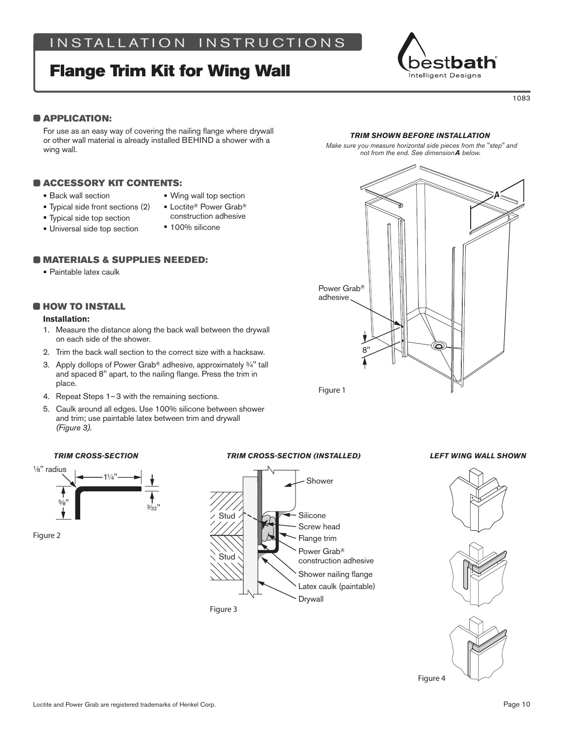# Flange Trim Kit for Wing Wall



**CAPPLICATION:** 

For use as an easy way of covering the nailing flange where drywall or other wall material is already installed BEHIND a shower with a wing wall.

### **ACCESSORY KIT CONTENTS:**

- **Back wall section**
- Wing wall top section
- Typical side front sections (2) ■ Loctite® Power Grab®
	- construction adhesive
- **Typical side top section Universal side top section**
- 100% silicone
- **COMATERIALS & SUPPLIES NEEDED:** 
	- **Paintable latex caulk**

# **CHOW TO INSTALL**

### **Installation:**

- 1. Measure the distance along the back wall between the drywall on each side of the shower.
- 2. Trim the back wall section to the correct size with a hacksaw.
- 3. Apply dollops of Power Grab® adhesive, approximately 3⁄4" tall and spaced 8" apart, to the nailing flange. Press the trim in place.
- 4. Repeat Steps 1–3 with the remaining sections.
- 5. Caulk around all edges. Use 100% silicone between shower and trim; use paintable latex between trim and drywall (Figure 3).

### *TRIM CROSS-SECTION*



### *TRIM CROSS-SECTION (INSTALLED)*



Figure 3

### *TRIM SHOWN BEFORE INSTALLATION*

*Make sure you measure horizontal side pieces from the "step" and not from the end. See dimensionA below.*



Figure 1

### *LEFT WING WALL SHOWN*







1083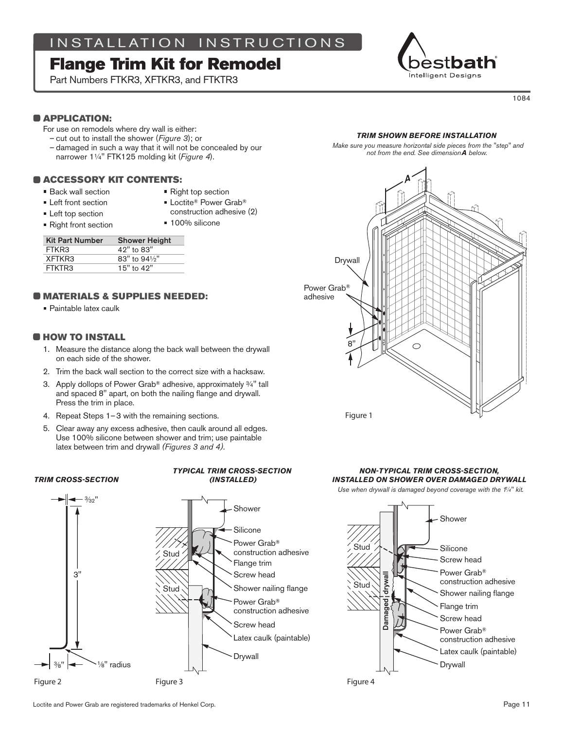# Flange Trim Kit for Remodel

Part Numbers FTKR3, XFTKR3, and FTKTR3



1084

# **CAPPLICATION:**

- For use on remodels where dry wall is either:
- cut out to install the shower (*Figure 3*); or
- damaged in such a way that it will not be concealed by our narrower 11⁄4" FTK125 molding kit (*Figure 4*).

# **CACCESSORY KIT CONTENTS:**

- **Back wall section**
- Right top section
- **Left front section**
- 
- 
- Loctite® Power Grab®
- **Left top section**
- construction adhesive (2)
- Right front section

# ■ 100% silicone

| <b>Kit Part Number</b> | <b>Shower Height</b> |
|------------------------|----------------------|
| FTKR3                  | 42" to 83"           |
| XFTKR3                 | 83" to 941/2"        |
| FTKTR3                 | 15" to 42"           |

# **COMATERIALS & SUPPLIES NEEDED:**

■ Paintable latex caulk

# **O HOW TO INSTALL**

- 1. Measure the distance along the back wall between the drywall on each side of the shower.
- 2. Trim the back wall section to the correct size with a hacksaw.
- 3. Apply dollops of Power Grab® adhesive, approximately 3⁄4" tall and spaced 8" apart, on both the nailing flange and drywall. Press the trim in place.
- 4. Repeat Steps 1–3 with the remaining sections.
- 5. Clear away any excess adhesive, then caulk around all edges. Use 100% silicone between shower and trim; use paintable latex between trim and drywall *(Figures 3 and 4).*

### *TRIM CROSS-SECTION*

*TYPICAL TRIM CROSS-SECTION (INSTALLED)*



### *TRIM SHOWN BEFORE INSTALLATION*

*Make sure you measure horizontal side pieces from the "step" and not from the end. See dimensionA below.*



# *NON-TYPICAL TRIM CROSS-SECTION, INSTALLED ON SHOWER OVER DAMAGED DRYWALL*

*Use when drywall is damaged beyond coverage with the 11⁄4" kit.*

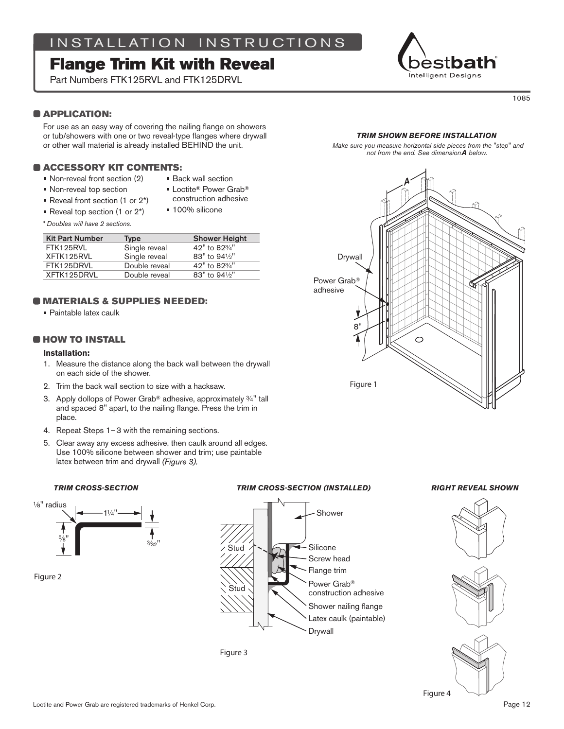# IN STALL ATION IN STRUCTIONS

# Flange Trim Kit with Reveal

Part Numbers FTK125RVL and FTK125DRVL

### **C** APPLICATION:

For use as an easy way of covering the nailing flange on showers or tub/showers with one or two reveal-type flanges where drywall or other wall material is already installed BEHIND the unit.

#### **CACCESSORY KIT CONTENTS:** Non-reveal front section (2)

- **Back wall section**
- Non-reveal top section
- Loctite® Power Grab®
- Reveal front section (1 or 2<sup>\*</sup>)
- construction adhesive ■ 100% silicone
- Reveal top section  $(1 \text{ or } 2^*)$
- *\* Doubles will have 2 sections.*

| <b>Kit Part Number</b> | <b>Type</b>   | <b>Shower Height</b> |
|------------------------|---------------|----------------------|
| FTK195RVI              | Single reveal | 42" to 823/4"        |
| XFTK125RVL             | Single reveal | 83" to 941/2"        |
| FTK125DRVI             | Double reveal | 42" to 823/4"        |
| XFTK125DRVI            | Double reveal | 83" to 941/2"        |

### **COMATERIALS & SUPPLIES NEEDED:**

■ Paintable latex caulk

# **O HOW TO INSTALL**

### **Installation:**

- 1. Measure the distance along the back wall between the drywall on each side of the shower.
- 2. Trim the back wall section to size with a hacksaw.
- 3. Apply dollops of Power Grab® adhesive, approximately 3⁄4" tall and spaced 8" apart, to the nailing flange. Press the trim in place.
- 4. Repeat Steps 1–3 with the remaining sections.
- 5. Clear away any excess adhesive, then caulk around all edges. Use 100% silicone between shower and trim; use paintable latex between trim and drywall (Figure 3).

*TRIM CROSS-SECTION*



Figure 2



# pèst**bath** .<br>Intelligent Designs

1085

#### *TRIM SHOWN BEFORE INSTALLATION*

*Make sure you measure horizontal side pieces from the "step" and not from the end. See dimensionA below.*



#### *RIGHT REVEAL SHOWN*